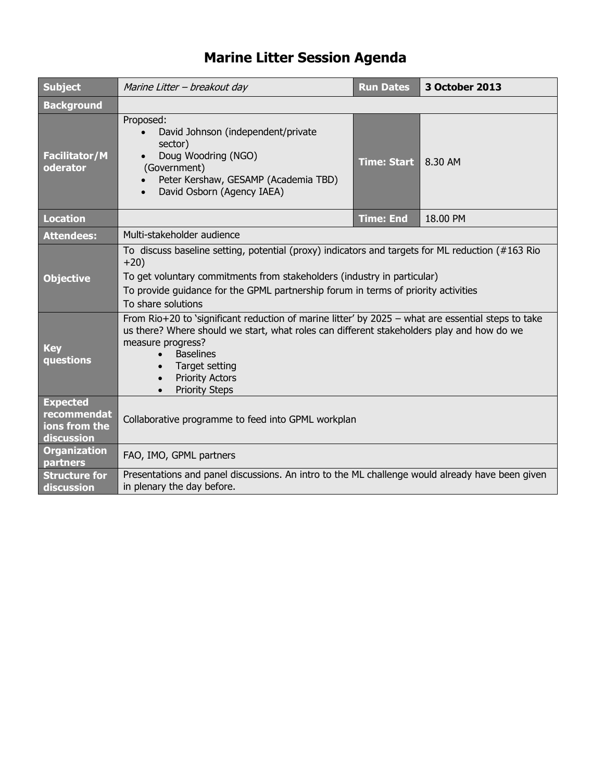## **Marine Litter Session Agenda**

| <b>Subject</b>                                                | Marine Litter - breakout day                                                                                                                                                                                                                                                                                                            | <b>Run Dates</b>   | 3 October 2013 |  |
|---------------------------------------------------------------|-----------------------------------------------------------------------------------------------------------------------------------------------------------------------------------------------------------------------------------------------------------------------------------------------------------------------------------------|--------------------|----------------|--|
| <b>Background</b>                                             |                                                                                                                                                                                                                                                                                                                                         |                    |                |  |
| <b>Facilitator/M</b><br>oderator                              | Proposed:<br>David Johnson (independent/private<br>sector)<br>Doug Woodring (NGO)<br>(Government)<br>Peter Kershaw, GESAMP (Academia TBD)<br>David Osborn (Agency IAEA)<br>$\bullet$                                                                                                                                                    | <b>Time: Start</b> | 8.30 AM        |  |
| <b>Location</b>                                               |                                                                                                                                                                                                                                                                                                                                         | <b>Time: End</b>   | 18.00 PM       |  |
| <b>Attendees:</b>                                             | Multi-stakeholder audience                                                                                                                                                                                                                                                                                                              |                    |                |  |
| <b>Objective</b>                                              | To discuss baseline setting, potential (proxy) indicators and targets for ML reduction (#163 Rio<br>$+20)$<br>To get voluntary commitments from stakeholders (industry in particular)<br>To provide guidance for the GPML partnership forum in terms of priority activities<br>To share solutions                                       |                    |                |  |
| <b>Key</b><br>questions                                       | From Rio+20 to 'significant reduction of marine litter' by 2025 - what are essential steps to take<br>us there? Where should we start, what roles can different stakeholders play and how do we<br>measure progress?<br><b>Baselines</b><br>$\bullet$<br>Target setting<br><b>Priority Actors</b><br>$\bullet$<br><b>Priority Steps</b> |                    |                |  |
| <b>Expected</b><br>recommendat<br>ions from the<br>discussion | Collaborative programme to feed into GPML workplan                                                                                                                                                                                                                                                                                      |                    |                |  |
| <b>Organization</b><br>partners                               | FAO, IMO, GPML partners                                                                                                                                                                                                                                                                                                                 |                    |                |  |
| <b>Structure for</b><br>discussion                            | Presentations and panel discussions. An intro to the ML challenge would already have been given<br>in plenary the day before.                                                                                                                                                                                                           |                    |                |  |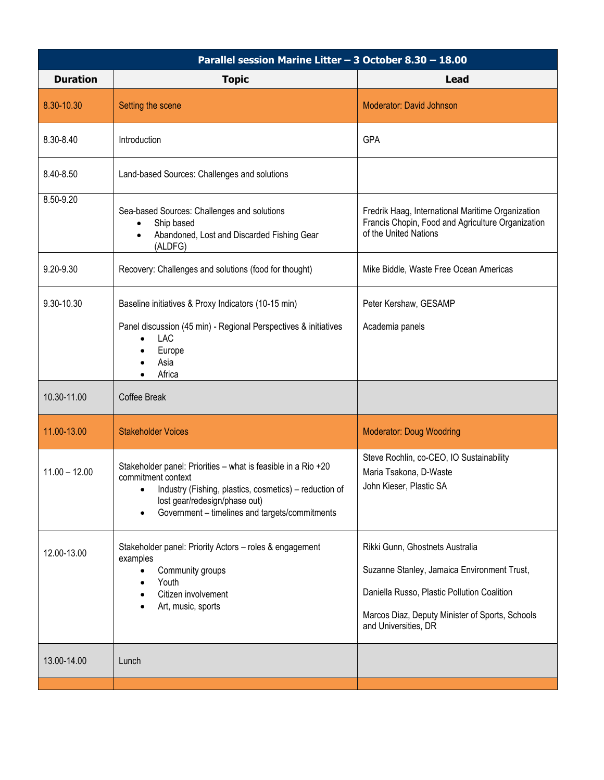| Parallel session Marine Litter - 3 October 8.30 - 18.00 |                                                                                                                                                                                                                                  |                                                                                                                                                                                                          |  |  |
|---------------------------------------------------------|----------------------------------------------------------------------------------------------------------------------------------------------------------------------------------------------------------------------------------|----------------------------------------------------------------------------------------------------------------------------------------------------------------------------------------------------------|--|--|
| <b>Duration</b>                                         | <b>Topic</b>                                                                                                                                                                                                                     | <b>Lead</b>                                                                                                                                                                                              |  |  |
| 8.30-10.30                                              | Setting the scene                                                                                                                                                                                                                | <b>Moderator: David Johnson</b>                                                                                                                                                                          |  |  |
| 8.30-8.40                                               | Introduction                                                                                                                                                                                                                     | GPA                                                                                                                                                                                                      |  |  |
| 8.40-8.50                                               | Land-based Sources: Challenges and solutions                                                                                                                                                                                     |                                                                                                                                                                                                          |  |  |
| 8.50-9.20                                               | Sea-based Sources: Challenges and solutions<br>Ship based<br>$\bullet$<br>Abandoned, Lost and Discarded Fishing Gear<br>(ALDFG)                                                                                                  | Fredrik Haag, International Maritime Organization<br>Francis Chopin, Food and Agriculture Organization<br>of the United Nations                                                                          |  |  |
| 9.20-9.30                                               | Recovery: Challenges and solutions (food for thought)                                                                                                                                                                            | Mike Biddle, Waste Free Ocean Americas                                                                                                                                                                   |  |  |
| 9.30-10.30                                              | Baseline initiatives & Proxy Indicators (10-15 min)<br>Panel discussion (45 min) - Regional Perspectives & initiatives<br>LAC<br>Europe<br>Asia<br>Africa                                                                        | Peter Kershaw, GESAMP<br>Academia panels                                                                                                                                                                 |  |  |
| 10.30-11.00                                             | Coffee Break                                                                                                                                                                                                                     |                                                                                                                                                                                                          |  |  |
| 11.00-13.00                                             | <b>Stakeholder Voices</b>                                                                                                                                                                                                        | <b>Moderator: Doug Woodring</b>                                                                                                                                                                          |  |  |
| $11.00 - 12.00$                                         | Stakeholder panel: Priorities - what is feasible in a Rio +20<br>commitment context<br>Industry (Fishing, plastics, cosmetics) - reduction of<br>lost gear/redesign/phase out)<br>Government - timelines and targets/commitments | Steve Rochlin, co-CEO, IO Sustainability<br>Maria Tsakona, D-Waste<br>John Kieser, Plastic SA                                                                                                            |  |  |
| 12.00-13.00                                             | Stakeholder panel: Priority Actors - roles & engagement<br>examples<br>Community groups<br>Youth<br>Citizen involvement<br>Art, music, sports                                                                                    | Rikki Gunn, Ghostnets Australia<br>Suzanne Stanley, Jamaica Environment Trust,<br>Daniella Russo, Plastic Pollution Coalition<br>Marcos Diaz, Deputy Minister of Sports, Schools<br>and Universities, DR |  |  |
| 13.00-14.00                                             | Lunch                                                                                                                                                                                                                            |                                                                                                                                                                                                          |  |  |
|                                                         |                                                                                                                                                                                                                                  |                                                                                                                                                                                                          |  |  |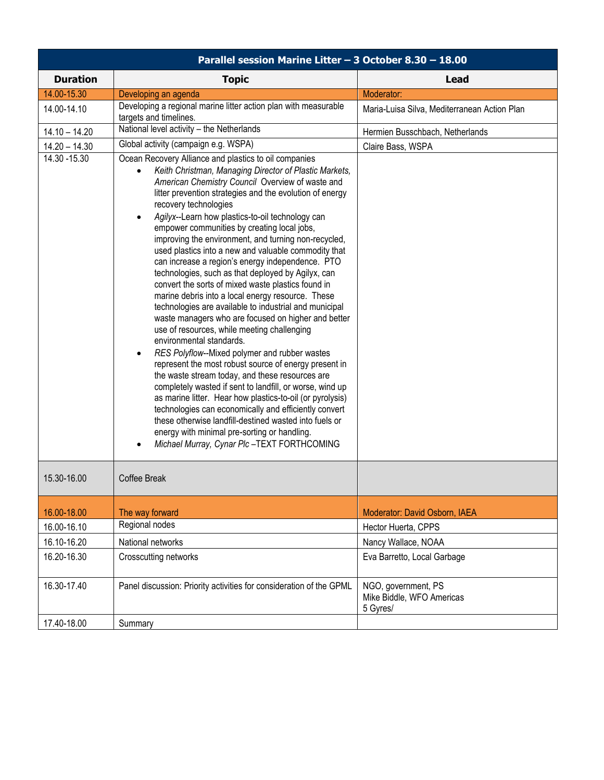| Parallel session Marine Litter - 3 October 8.30 - 18.00 |                                                                                                                                                                                                                                                                                                                                                                                                                                                                                                                                                                                                                                                                                                                                                                                                                                                                                                                                                                                                                                                                                                                                                                                                                                                                                                                                                                                                                                            |                                                              |  |  |  |
|---------------------------------------------------------|--------------------------------------------------------------------------------------------------------------------------------------------------------------------------------------------------------------------------------------------------------------------------------------------------------------------------------------------------------------------------------------------------------------------------------------------------------------------------------------------------------------------------------------------------------------------------------------------------------------------------------------------------------------------------------------------------------------------------------------------------------------------------------------------------------------------------------------------------------------------------------------------------------------------------------------------------------------------------------------------------------------------------------------------------------------------------------------------------------------------------------------------------------------------------------------------------------------------------------------------------------------------------------------------------------------------------------------------------------------------------------------------------------------------------------------------|--------------------------------------------------------------|--|--|--|
| <b>Duration</b>                                         | <b>Topic</b>                                                                                                                                                                                                                                                                                                                                                                                                                                                                                                                                                                                                                                                                                                                                                                                                                                                                                                                                                                                                                                                                                                                                                                                                                                                                                                                                                                                                                               | <b>Lead</b>                                                  |  |  |  |
| 14.00-15.30                                             | Developing an agenda                                                                                                                                                                                                                                                                                                                                                                                                                                                                                                                                                                                                                                                                                                                                                                                                                                                                                                                                                                                                                                                                                                                                                                                                                                                                                                                                                                                                                       | Moderator:                                                   |  |  |  |
| 14.00-14.10                                             | Developing a regional marine litter action plan with measurable<br>targets and timelines.                                                                                                                                                                                                                                                                                                                                                                                                                                                                                                                                                                                                                                                                                                                                                                                                                                                                                                                                                                                                                                                                                                                                                                                                                                                                                                                                                  | Maria-Luisa Silva, Mediterranean Action Plan                 |  |  |  |
| $14.10 - 14.20$                                         | National level activity - the Netherlands                                                                                                                                                                                                                                                                                                                                                                                                                                                                                                                                                                                                                                                                                                                                                                                                                                                                                                                                                                                                                                                                                                                                                                                                                                                                                                                                                                                                  | Hermien Busschbach, Netherlands                              |  |  |  |
| $14.20 - 14.30$                                         | Global activity (campaign e.g. WSPA)                                                                                                                                                                                                                                                                                                                                                                                                                                                                                                                                                                                                                                                                                                                                                                                                                                                                                                                                                                                                                                                                                                                                                                                                                                                                                                                                                                                                       | Claire Bass, WSPA                                            |  |  |  |
| 14.30 - 15.30                                           | Ocean Recovery Alliance and plastics to oil companies<br>Keith Christman, Managing Director of Plastic Markets,<br>$\bullet$<br>American Chemistry Council Overview of waste and<br>litter prevention strategies and the evolution of energy<br>recovery technologies<br>Agilyx--Learn how plastics-to-oil technology can<br>$\bullet$<br>empower communities by creating local jobs,<br>improving the environment, and turning non-recycled,<br>used plastics into a new and valuable commodity that<br>can increase a region's energy independence. PTO<br>technologies, such as that deployed by Agilyx, can<br>convert the sorts of mixed waste plastics found in<br>marine debris into a local energy resource. These<br>technologies are available to industrial and municipal<br>waste managers who are focused on higher and better<br>use of resources, while meeting challenging<br>environmental standards.<br>RES Polyflow--Mixed polymer and rubber wastes<br>$\bullet$<br>represent the most robust source of energy present in<br>the waste stream today, and these resources are<br>completely wasted if sent to landfill, or worse, wind up<br>as marine litter. Hear how plastics-to-oil (or pyrolysis)<br>technologies can economically and efficiently convert<br>these otherwise landfill-destined wasted into fuels or<br>energy with minimal pre-sorting or handling.<br>Michael Murray, Cynar Plc-TEXT FORTHCOMING |                                                              |  |  |  |
| 15.30-16.00                                             | Coffee Break                                                                                                                                                                                                                                                                                                                                                                                                                                                                                                                                                                                                                                                                                                                                                                                                                                                                                                                                                                                                                                                                                                                                                                                                                                                                                                                                                                                                                               |                                                              |  |  |  |
| 16.00-18.00                                             | The way forward                                                                                                                                                                                                                                                                                                                                                                                                                                                                                                                                                                                                                                                                                                                                                                                                                                                                                                                                                                                                                                                                                                                                                                                                                                                                                                                                                                                                                            | Moderator: David Osborn, IAEA                                |  |  |  |
| 16.00-16.10                                             | Regional nodes                                                                                                                                                                                                                                                                                                                                                                                                                                                                                                                                                                                                                                                                                                                                                                                                                                                                                                                                                                                                                                                                                                                                                                                                                                                                                                                                                                                                                             | Hector Huerta, CPPS                                          |  |  |  |
| 16.10-16.20                                             | National networks                                                                                                                                                                                                                                                                                                                                                                                                                                                                                                                                                                                                                                                                                                                                                                                                                                                                                                                                                                                                                                                                                                                                                                                                                                                                                                                                                                                                                          | Nancy Wallace, NOAA                                          |  |  |  |
| 16.20-16.30                                             | Crosscutting networks                                                                                                                                                                                                                                                                                                                                                                                                                                                                                                                                                                                                                                                                                                                                                                                                                                                                                                                                                                                                                                                                                                                                                                                                                                                                                                                                                                                                                      | Eva Barretto, Local Garbage                                  |  |  |  |
| 16.30-17.40                                             | Panel discussion: Priority activities for consideration of the GPML                                                                                                                                                                                                                                                                                                                                                                                                                                                                                                                                                                                                                                                                                                                                                                                                                                                                                                                                                                                                                                                                                                                                                                                                                                                                                                                                                                        | NGO, government, PS<br>Mike Biddle, WFO Americas<br>5 Gyres/ |  |  |  |
| 17.40-18.00                                             | Summary                                                                                                                                                                                                                                                                                                                                                                                                                                                                                                                                                                                                                                                                                                                                                                                                                                                                                                                                                                                                                                                                                                                                                                                                                                                                                                                                                                                                                                    |                                                              |  |  |  |